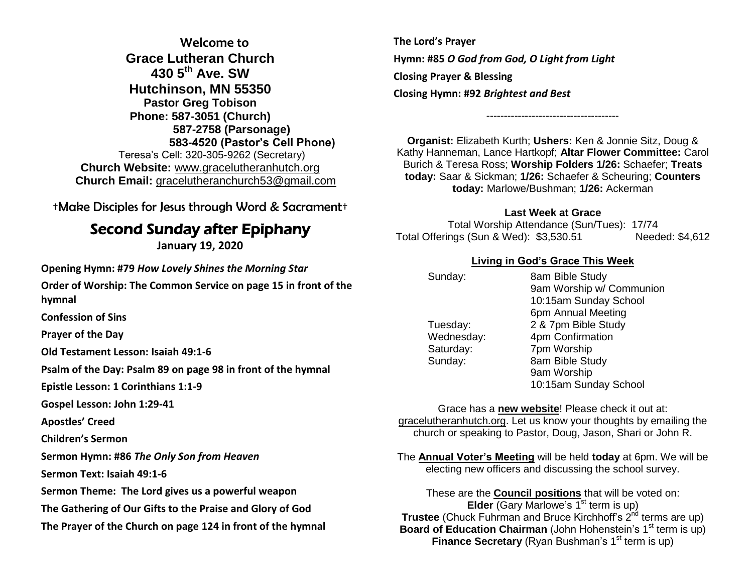**Welcome to Grace Lutheran Church 430 5th Ave. SW Hutchinson, MN 55350 Pastor Greg Tobison Phone: 587-3051 (Church) 587-2758 (Parsonage) 583-4520 (Pastor's Cell Phone)** Teresa's Cell: 320-305-9262 (Secretary) **Church Website:** [www.gracelutheranhutch.org](http://www.gracelutheranhutch.org/) **Church Email:** [gracelutheranchurch53@gmail.com](mailto:gracelutheranchurch53@gmail.com)

†Make Disciples for Jesus through Word & Sacrament†

# Second Sunday after Epiphany

**January 19, 2020**

**Opening Hymn: #79** *How Lovely Shines the Morning Star*

**Order of Worship: The Common Service on page 15 in front of the hymnal**

**Confession of Sins** 

**Prayer of the Day**

**Old Testament Lesson: Isaiah 49:1-6**

**Psalm of the Day: Psalm 89 on page 98 in front of the hymnal** 

**Epistle Lesson: 1 Corinthians 1:1-9**

**Gospel Lesson: John 1:29-41**

**Apostles' Creed**

**Children's Sermon**

**Sermon Hymn: #86** *The Only Son from Heaven*

**Sermon Text: Isaiah 49:1-6**

**Sermon Theme: The Lord gives us a powerful weapon**

**The Gathering of Our Gifts to the Praise and Glory of God**

**The Prayer of the Church on page 124 in front of the hymnal**

**The Lord's Prayer Hymn: #85** *O God from God, O Light from Light* **Closing Prayer & Blessing Closing Hymn: #92** *Brightest and Best*

**Organist:** Elizabeth Kurth; **Ushers:** Ken & Jonnie Sitz, Doug & Kathy Hanneman, Lance Hartkopf; **Altar Flower Committee:** Carol Burich & Teresa Ross; **Worship Folders 1/26:** Schaefer; **Treats today:** Saar & Sickman; **1/26:** Schaefer & Scheuring; **Counters today:** Marlowe/Bushman; **1/26:** Ackerman

--------------------------------------

### **Last Week at Grace**

Total Worship Attendance (Sun/Tues): 17/74 Total Offerings (Sun & Wed): \$3,530.51 Needed: \$4,612

### **Living in God's Grace This Week**

| Sunday:    | 8am Bible Study          |
|------------|--------------------------|
|            | 9am Worship w/ Communion |
|            | 10:15am Sunday School    |
|            | 6pm Annual Meeting       |
| Tuesday:   | 2 & 7pm Bible Study      |
| Wednesday: | 4pm Confirmation         |
| Saturday:  | 7pm Worship              |
| Sunday:    | 8am Bible Study          |
|            | 9am Worship              |
|            | 10:15am Sunday School    |

Grace has a **new website**! Please check it out at: gracelutheranhutch.org. Let us know your thoughts by emailing the church or speaking to Pastor, Doug, Jason, Shari or John R.

The **Annual Voter's Meeting** will be held **today** at 6pm. We will be electing new officers and discussing the school survey.

These are the **Council positions** that will be voted on: **Elder** (Gary Marlowe's 1<sup>st</sup> term is up) **Trustee** (Chuck Fuhrman and Bruce Kirchhoff's 2<sup>nd</sup> terms are up) **Board of Education Chairman** (John Hohenstein's 1<sup>st</sup> term is up) **Finance Secretary** (Ryan Bushman's 1<sup>st</sup> term is up)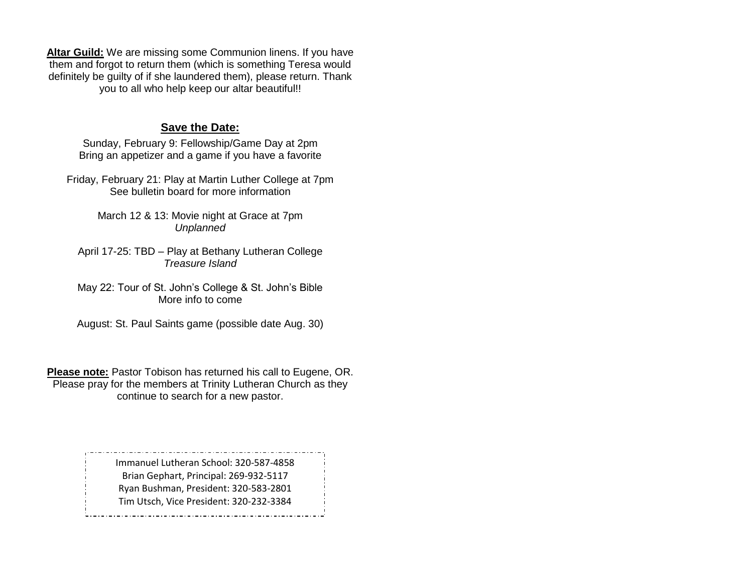**Altar Guild:** We are missing some Communion linens. If you have them and forgot to return them (which is something Teresa would definitely be guilty of if she laundered them), please return. Thank you to all who help keep our altar beautiful!!

#### **Save the Date:**

Sunday, February 9: Fellowship/Game Day at 2pm Bring an appetizer and a game if you have a favorite

Friday, February 21: Play at Martin Luther College at 7pm See bulletin board for more information

> March 12 & 13: Movie night at Grace at 7pm *Unplanned*

April 17-25: TBD – Play at Bethany Lutheran College *Treasure Island*

May 22: Tour of St. John's College & St. John's Bible More info to come

August: St. Paul Saints game (possible date Aug. 30)

**Please note:** Pastor Tobison has returned his call to Eugene, OR. Please pray for the members at Trinity Lutheran Church as they continue to search for a new pastor.

> Immanuel Lutheran School: 320-587-4858 Brian Gephart, Principal: 269-932-5117 Ryan Bushman, President: 320-583-2801 Tim Utsch, Vice President: 320-232-3384